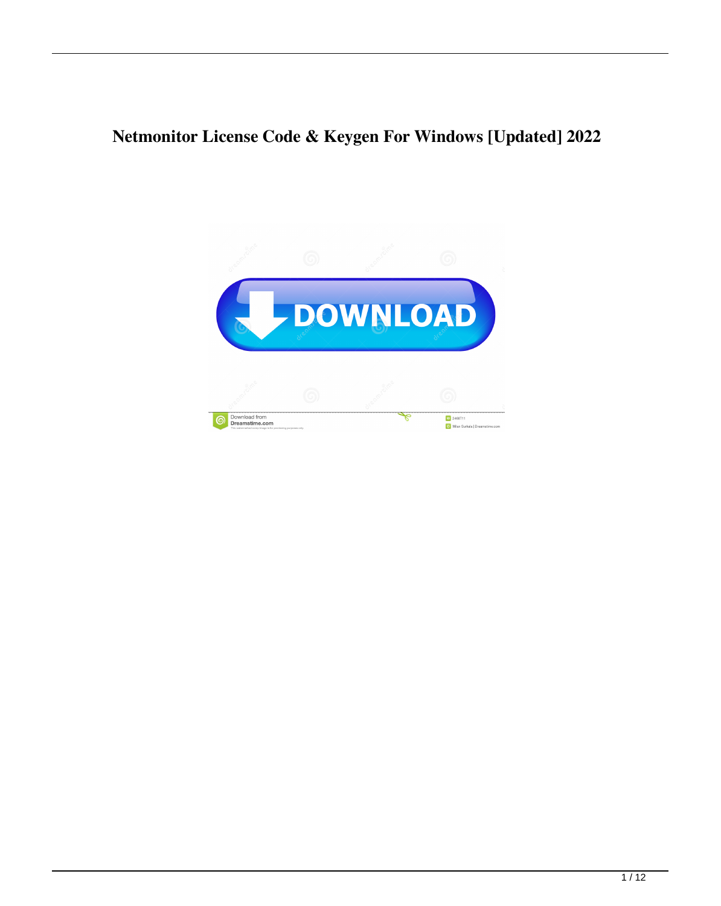### **Netmonitor License Code & Keygen For Windows [Updated] 2022**

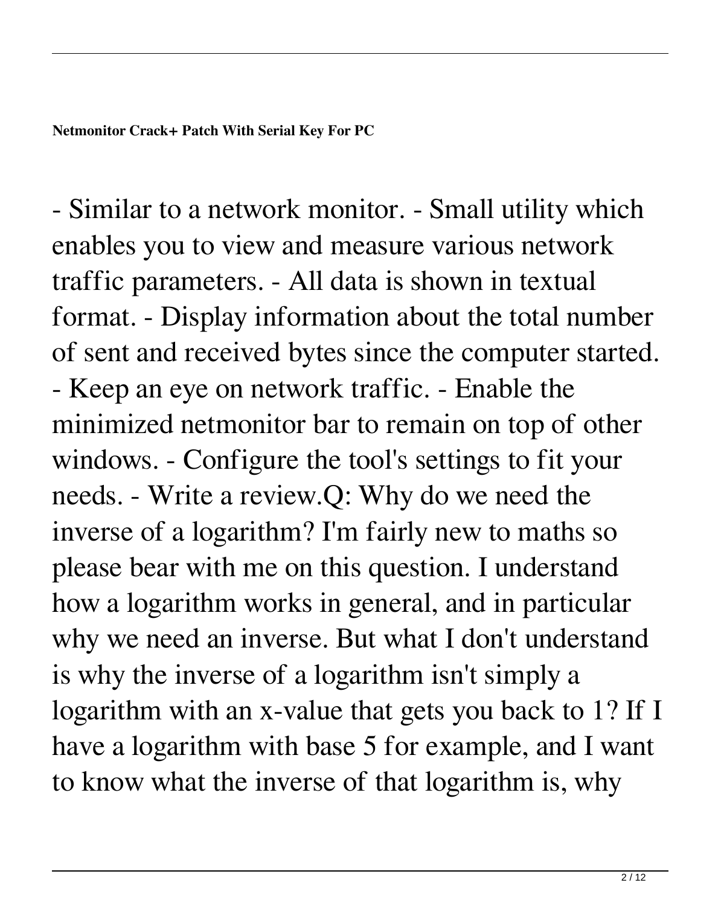- Similar to a network monitor. - Small utility which enables you to view and measure various network traffic parameters. - All data is shown in textual format. - Display information about the total number of sent and received bytes since the computer started. - Keep an eye on network traffic. - Enable the minimized netmonitor bar to remain on top of other windows. - Configure the tool's settings to fit your needs. - Write a review.Q: Why do we need the inverse of a logarithm? I'm fairly new to maths so please bear with me on this question. I understand how a logarithm works in general, and in particular why we need an inverse. But what I don't understand is why the inverse of a logarithm isn't simply a logarithm with an x-value that gets you back to 1? If I have a logarithm with base 5 for example, and I want to know what the inverse of that logarithm is, why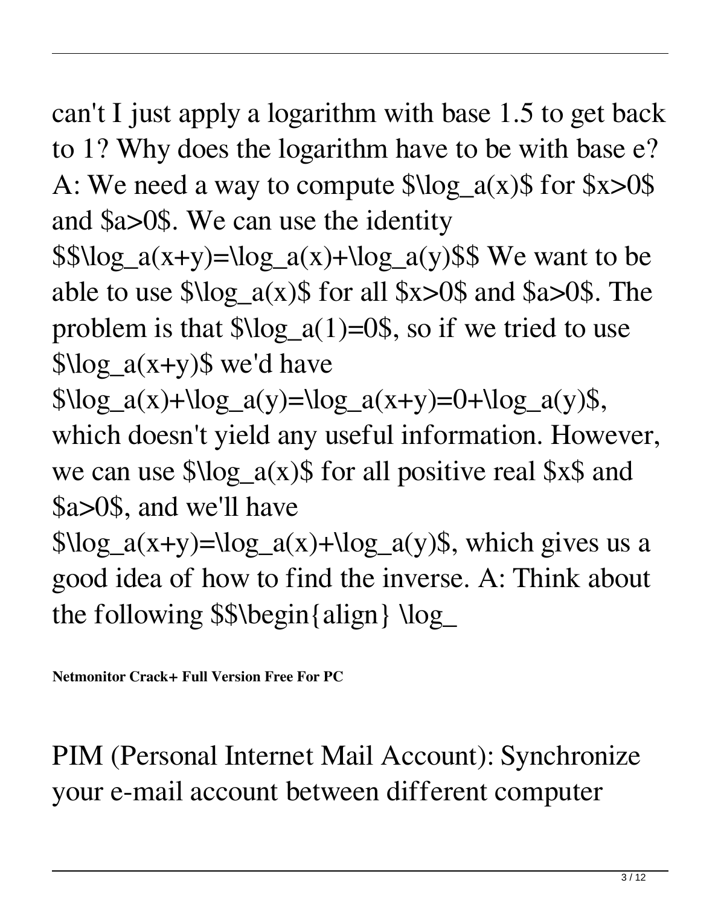can't I just apply a logarithm with base 1.5 to get back to 1? Why does the logarithm have to be with base e? A: We need a way to compute  $\log_a(x)$  for  $x>0$ \$ and \$a>0\$. We can use the identity

 $\$ \$  \log\_a(x+y) = \log\_a(x) + \log\_a(y)\$\$ We want to be able to use  $\log_a(x)$  for all  $x>0$  and  $a>0$ . The problem is that  $\lambda \log_a(1)=0$ , so if we tried to use  $\log_a(x+y)$ \$ we'd have

 $\log_a(x) + \log_a(y) = \log_a(x+y) = 0 + \log_a(y)\$ which doesn't yield any useful information. However, we can use  $\log_a(x)$  for all positive real  $x \$  and \$a>0\$, and we'll have

 $\log_a(x+y) = \log_a(x) + \log_a(y)$ \$, which gives us a good idea of how to find the inverse. A: Think about the following \$\$\begin{align} \log\_

**Netmonitor Crack+ Full Version Free For PC**

PIM (Personal Internet Mail Account): Synchronize your e-mail account between different computer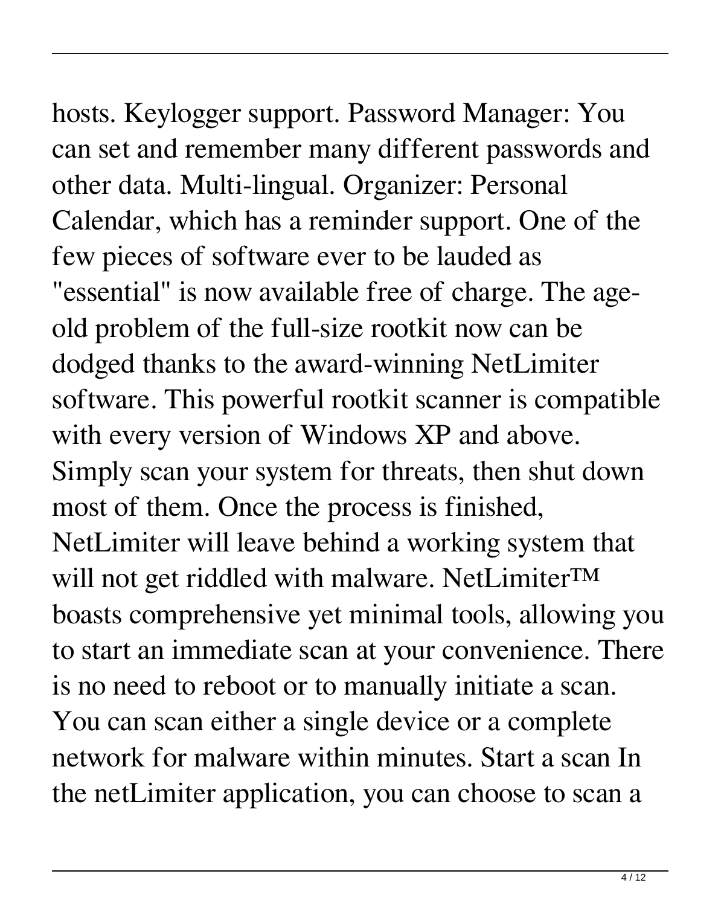# hosts. Keylogger support. Password Manager: You

can set and remember many different passwords and other data. Multi-lingual. Organizer: Personal Calendar, which has a reminder support. One of the few pieces of software ever to be lauded as "essential" is now available free of charge. The ageold problem of the full-size rootkit now can be dodged thanks to the award-winning NetLimiter software. This powerful rootkit scanner is compatible with every version of Windows XP and above. Simply scan your system for threats, then shut down most of them. Once the process is finished, NetLimiter will leave behind a working system that will not get riddled with malware. NetLimiter™ boasts comprehensive yet minimal tools, allowing you to start an immediate scan at your convenience. There is no need to reboot or to manually initiate a scan. You can scan either a single device or a complete network for malware within minutes. Start a scan In the netLimiter application, you can choose to scan a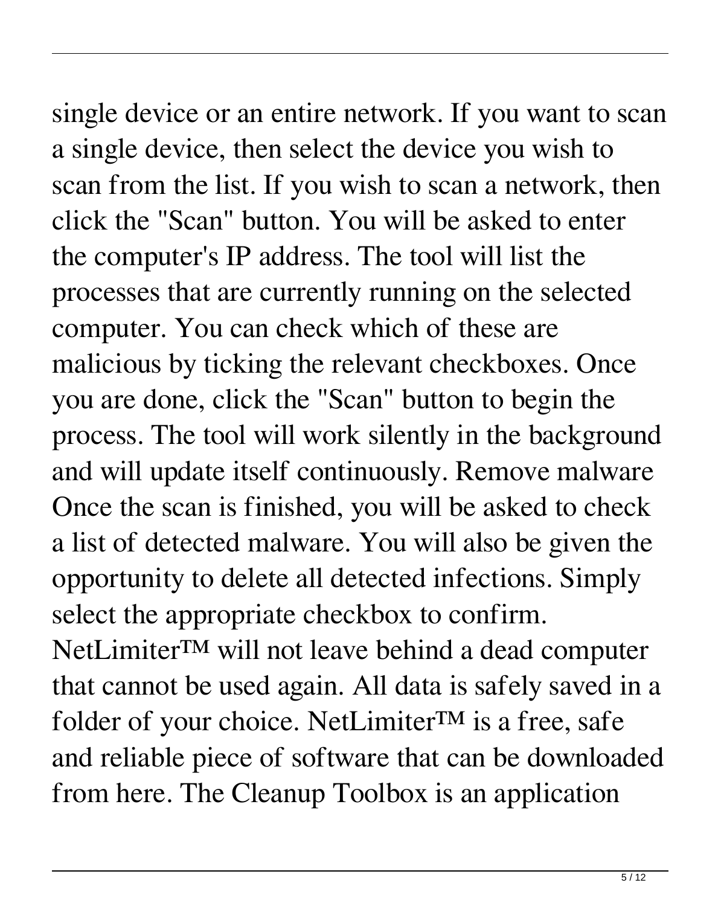### single device or an entire network. If you want to scan a single device, then select the device you wish to scan from the list. If you wish to scan a network, then

click the "Scan" button. You will be asked to enter the computer's IP address. The tool will list the processes that are currently running on the selected computer. You can check which of these are malicious by ticking the relevant checkboxes. Once you are done, click the "Scan" button to begin the process. The tool will work silently in the background and will update itself continuously. Remove malware Once the scan is finished, you will be asked to check a list of detected malware. You will also be given the opportunity to delete all detected infections. Simply select the appropriate checkbox to confirm. NetLimiter™ will not leave behind a dead computer that cannot be used again. All data is safely saved in a folder of your choice. NetLimiter $TM$  is a free, safe and reliable piece of software that can be downloaded from here. The Cleanup Toolbox is an application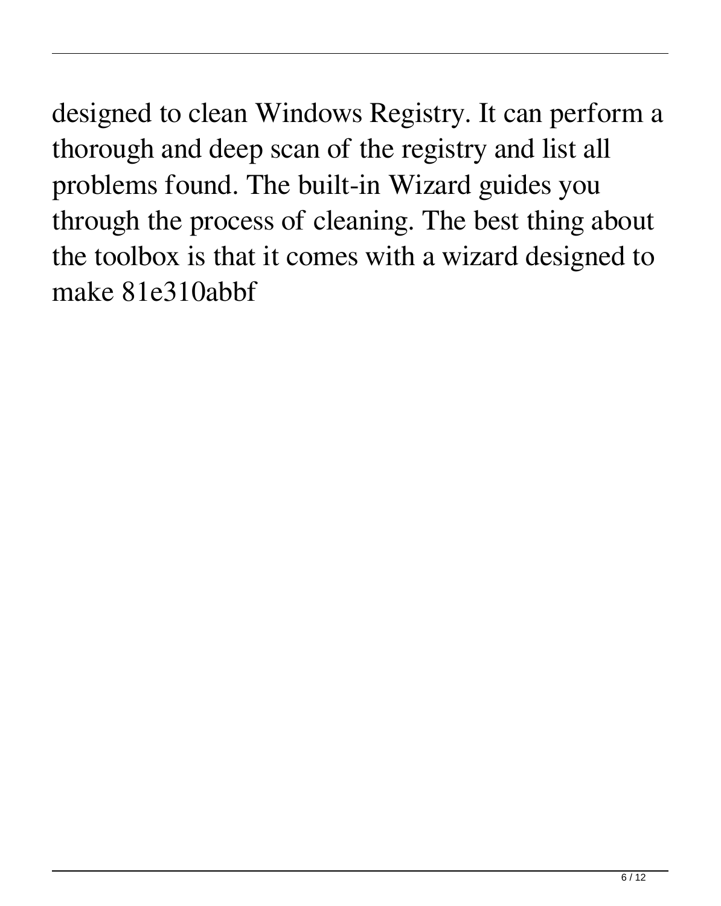designed to clean Windows Registry. It can perform a thorough and deep scan of the registry and list all problems found. The built-in Wizard guides you through the process of cleaning. The best thing about the toolbox is that it comes with a wizard designed to make 81e310abbf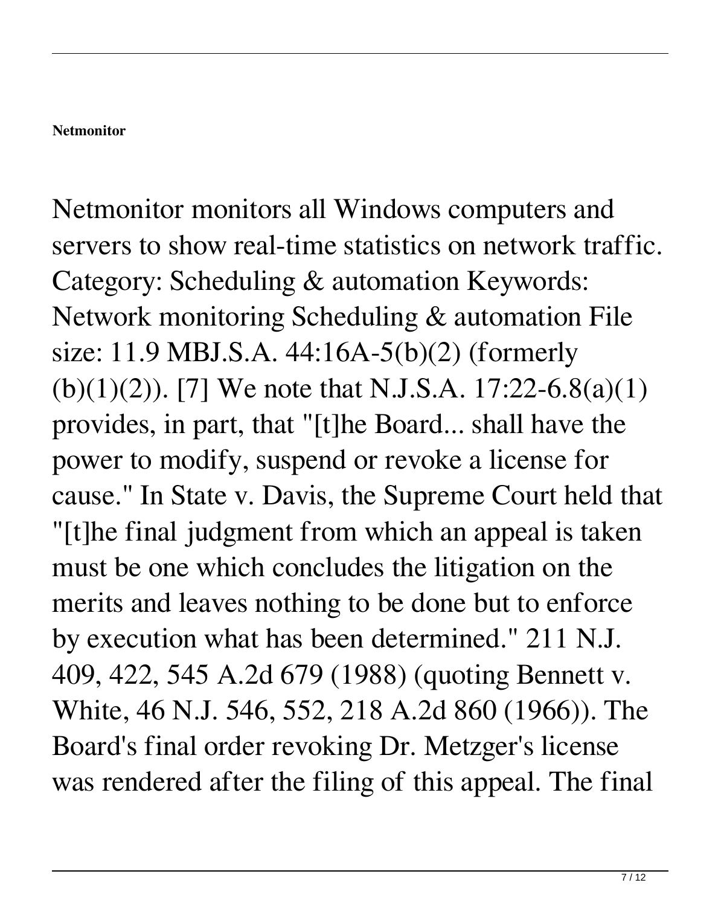#### **Netmonitor**

Netmonitor monitors all Windows computers and servers to show real-time statistics on network traffic. Category: Scheduling & automation Keywords: Network monitoring Scheduling & automation File size: 11.9 MBJ.S.A. 44:16A-5(b)(2) (formerly (b)(1)(2)). [7] We note that N.J.S.A. 17:22-6.8(a)(1) provides, in part, that "[t]he Board... shall have the power to modify, suspend or revoke a license for cause." In State v. Davis, the Supreme Court held that "[t]he final judgment from which an appeal is taken must be one which concludes the litigation on the merits and leaves nothing to be done but to enforce by execution what has been determined." 211 N.J. 409, 422, 545 A.2d 679 (1988) (quoting Bennett v. White, 46 N.J. 546, 552, 218 A.2d 860 (1966)). The Board's final order revoking Dr. Metzger's license was rendered after the filing of this appeal. The final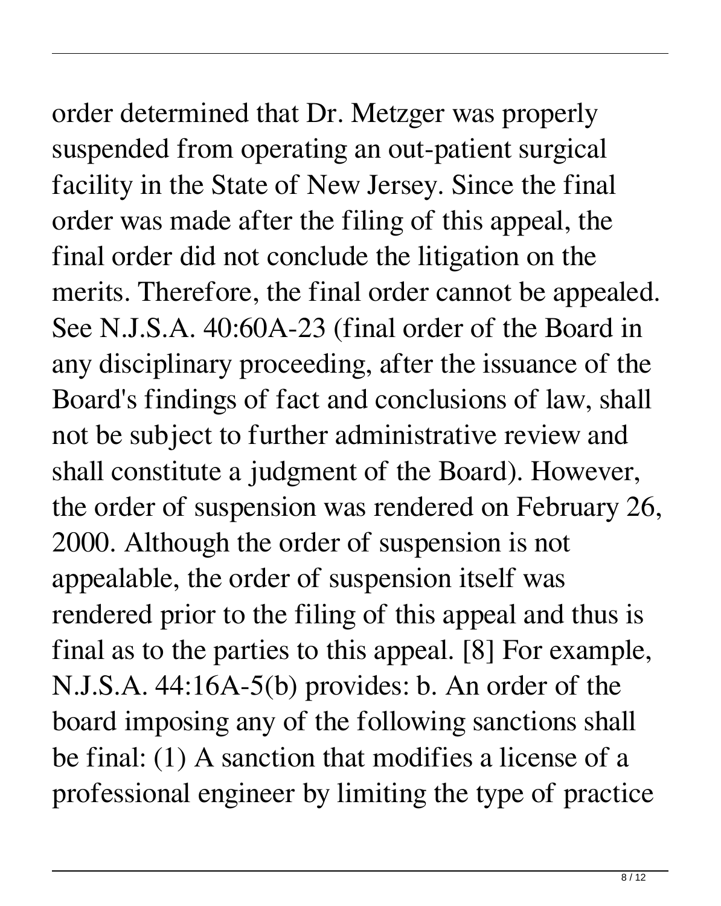order determined that Dr. Metzger was properly suspended from operating an out-patient surgical facility in the State of New Jersey. Since the final order was made after the filing of this appeal, the final order did not conclude the litigation on the merits. Therefore, the final order cannot be appealed. See N.J.S.A. 40:60A-23 (final order of the Board in any disciplinary proceeding, after the issuance of the Board's findings of fact and conclusions of law, shall not be subject to further administrative review and shall constitute a judgment of the Board). However, the order of suspension was rendered on February 26, 2000. Although the order of suspension is not

appealable, the order of suspension itself was rendered prior to the filing of this appeal and thus is final as to the parties to this appeal. [8] For example, N.J.S.A. 44:16A-5(b) provides: b. An order of the board imposing any of the following sanctions shall be final: (1) A sanction that modifies a license of a professional engineer by limiting the type of practice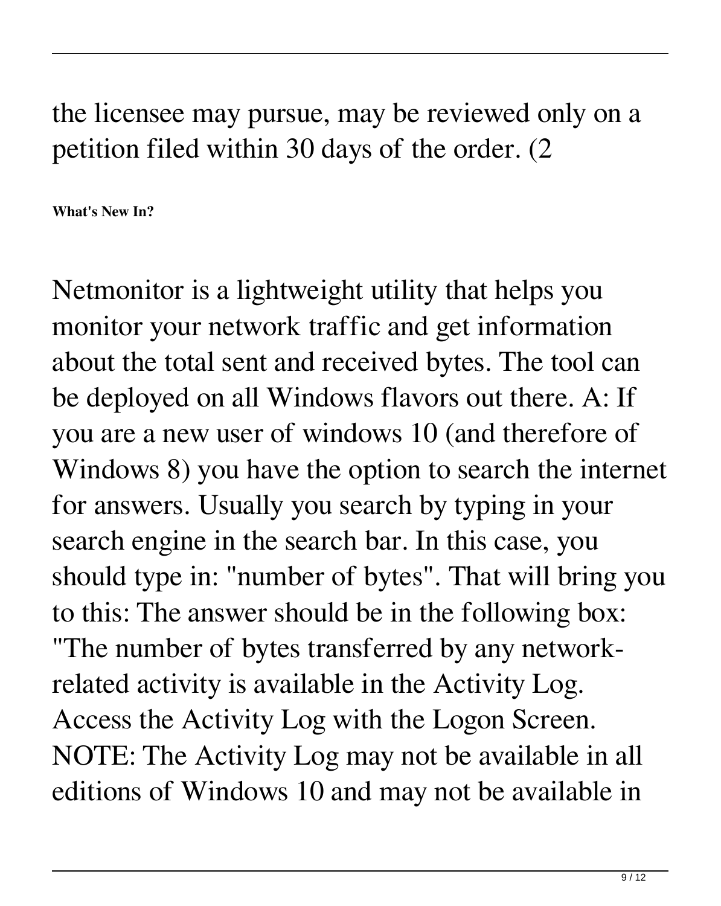the licensee may pursue, may be reviewed only on a petition filed within 30 days of the order. (2

**What's New In?**

Netmonitor is a lightweight utility that helps you monitor your network traffic and get information about the total sent and received bytes. The tool can be deployed on all Windows flavors out there. A: If you are a new user of windows 10 (and therefore of Windows 8) you have the option to search the internet for answers. Usually you search by typing in your search engine in the search bar. In this case, you should type in: "number of bytes". That will bring you to this: The answer should be in the following box: "The number of bytes transferred by any networkrelated activity is available in the Activity Log. Access the Activity Log with the Logon Screen. NOTE: The Activity Log may not be available in all editions of Windows 10 and may not be available in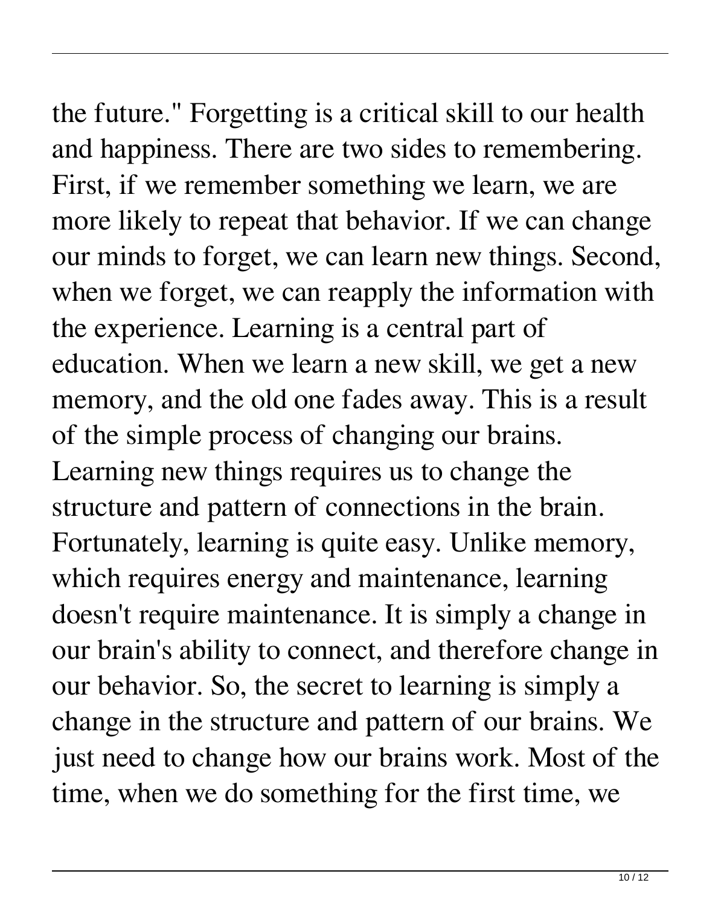the future." Forgetting is a critical skill to our health and happiness. There are two sides to remembering. First, if we remember something we learn, we are more likely to repeat that behavior. If we can change our minds to forget, we can learn new things. Second, when we forget, we can reapply the information with the experience. Learning is a central part of education. When we learn a new skill, we get a new memory, and the old one fades away. This is a result of the simple process of changing our brains. Learning new things requires us to change the structure and pattern of connections in the brain. Fortunately, learning is quite easy. Unlike memory, which requires energy and maintenance, learning doesn't require maintenance. It is simply a change in our brain's ability to connect, and therefore change in our behavior. So, the secret to learning is simply a change in the structure and pattern of our brains. We just need to change how our brains work. Most of the time, when we do something for the first time, we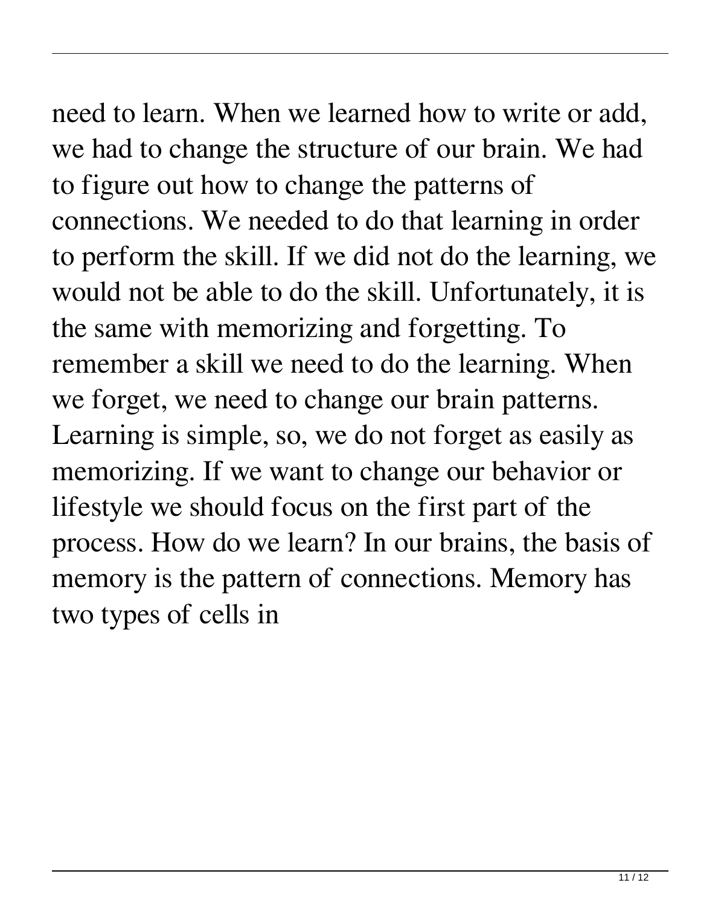## need to learn. When we learned how to write or add,

we had to change the structure of our brain. We had to figure out how to change the patterns of connections. We needed to do that learning in order to perform the skill. If we did not do the learning, we would not be able to do the skill. Unfortunately, it is the same with memorizing and forgetting. To remember a skill we need to do the learning. When we forget, we need to change our brain patterns. Learning is simple, so, we do not forget as easily as memorizing. If we want to change our behavior or lifestyle we should focus on the first part of the process. How do we learn? In our brains, the basis of memory is the pattern of connections. Memory has two types of cells in